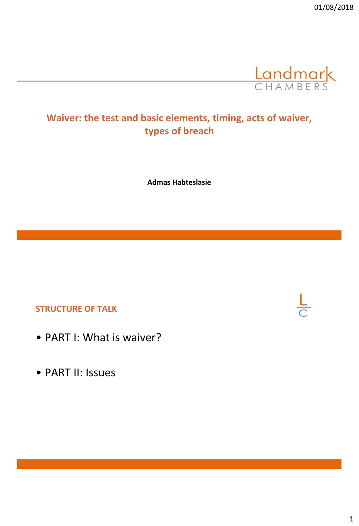

# **Waiver: the test and basic elements, timing, acts of waiver, types of breach**

**Admas Habteslasie**

#### **STRUCTURE OF TALK**

- PART I: What is waiver?
- PART II: Issues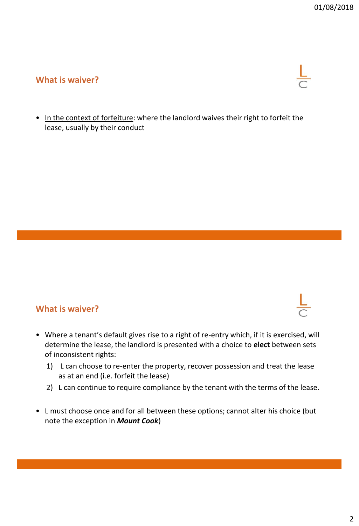### **What is waiver?**

• In the context of forfeiture: where the landlord waives their right to forfeit the lease, usually by their conduct

#### **What is waiver?**

- Where a tenant's default gives rise to a right of re-entry which, if it is exercised, will determine the lease, the landlord is presented with a choice to **elect** between sets of inconsistent rights:
	- 1) L can choose to re-enter the property, recover possession and treat the lease as at an end (i.e. forfeit the lease)
	- 2) L can continue to require compliance by the tenant with the terms of the lease.
- L must choose once and for all between these options; cannot alter his choice (but note the exception in *Mount Cook*)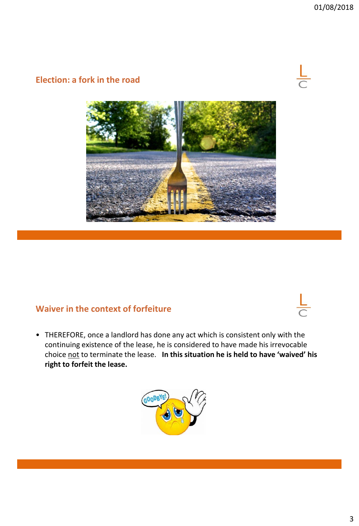#### **Election: a fork in the road**



#### **Waiver in the context of forfeiture**

• THEREFORE, once a landlord has done any act which is consistent only with the continuing existence of the lease, he is considered to have made his irrevocable choice not to terminate the lease. **In this situation he is held to have 'waived' his right to forfeit the lease.** 

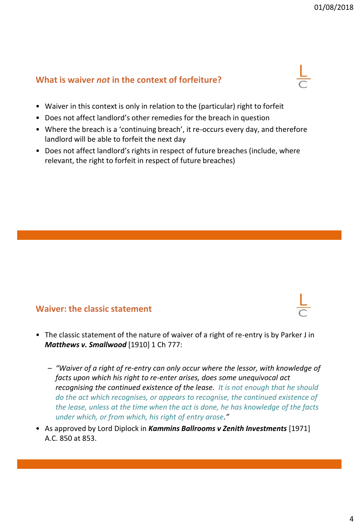### **What is waiver** *not* **in the context of forfeiture?**



- Does not affect landlord's other remedies for the breach in question
- Where the breach is a 'continuing breach', it re-occurs every day, and therefore landlord will be able to forfeit the next day
- Does not affect landlord's rights in respect of future breaches (include, where relevant, the right to forfeit in respect of future breaches)

#### **Waiver: the classic statement**

- The classic statement of the nature of waiver of a right of re-entry is by Parker J in *Matthews v. Smallwood* [1910] 1 Ch 777:
	- *"Waiver of a right of re-entry can only occur where the lessor, with knowledge of facts upon which his right to re-enter arises, does some unequivocal act recognising the continued existence of the lease. It is not enough that he should do the act which recognises, or appears to recognise, the continued existence of the lease, unless at the time when the act is done, he has knowledge of the facts under which, or from which, his right of entry arose."*
- As approved by Lord Diplock in *Kammins Ballrooms v Zenith Investments* [1971] A.C. 850 at 853.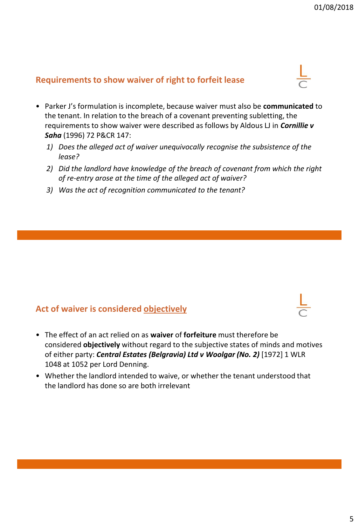#### **Requirements to show waiver of right to forfeit lease**

- Parker J's formulation is incomplete, because waiver must also be **communicated** to the tenant. In relation to the breach of a covenant preventing subletting, the requirements to show waiver were described as follows by Aldous LJ in *Cornillie v Saha* (1996) 72 P&CR 147:
	- *1) Does the alleged act of waiver unequivocally recognise the subsistence of the lease?*
	- *2) Did the landlord have knowledge of the breach of covenant from which the right of re-entry arose at the time of the alleged act of waiver?*
	- *3) Was the act of recognition communicated to the tenant?*

#### **Act of waiver is considered objectively**

- The effect of an act relied on as **waiver** of **forfeiture** must therefore be considered **objectively** without regard to the subjective states of minds and motives of either party: *Central Estates (Belgravia) Ltd v Woolgar (No. 2)* [1972] 1 WLR 1048 at 1052 per Lord Denning.
- Whether the landlord intended to waive, or whether the tenant understood that the landlord has done so are both irrelevant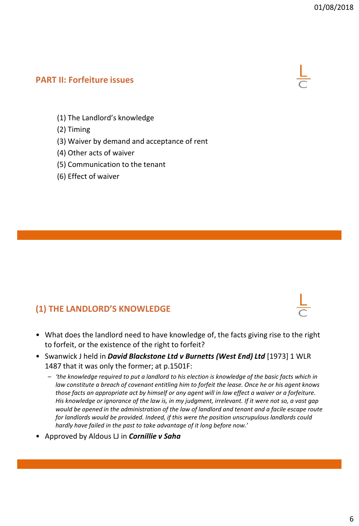#### **PART II: Forfeiture issues**



- (1) The Landlord's knowledge
- (2) Timing
- (3) Waiver by demand and acceptance of rent
- (4) Other acts of waiver
- (5) Communication to the tenant
- (6) Effect of waiver

#### **(1) THE LANDLORD'S KNOWLEDGE**

- What does the landlord need to have knowledge of, the facts giving rise to the right to forfeit, or the existence of the right to forfeit?
- Swanwick J held in *David Blackstone Ltd v Burnetts (West End) Ltd* [1973] 1 WLR 1487 that it was only the former; at p.1501F:
	- *'the knowledge required to put a landlord to his election is knowledge of the basic facts which in law constitute a breach of covenant entitling him to forfeit the lease. Once he or his agent knows those facts an appropriate act by himself or any agent will in law effect a waiver or a forfeiture. His knowledge or ignorance of the law is, in my judgment, irrelevant. If it were not so, a vast gap would be opened in the administration of the law of landlord and tenant and a facile escape route for landlords would be provided. Indeed, if this were the position unscrupulous landlords could hardly have failed in the past to take advantage of it long before now.*'
- Approved by Aldous LJ in *Cornillie v Saha*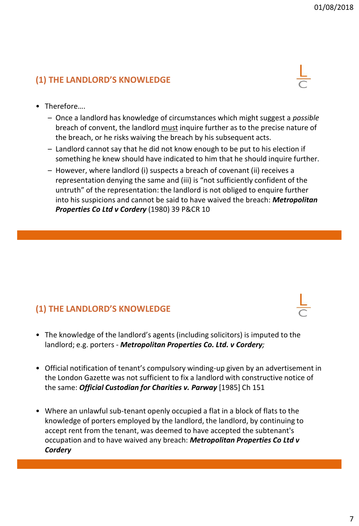## **(1) THE LANDLORD'S KNOWLEDGE**



- Therefore….
	- Once a landlord has knowledge of circumstances which might suggest a *possible* breach of convent, the landlord must inquire further as to the precise nature of the breach, or he risks waiving the breach by his subsequent acts.
	- Landlord cannot say that he did not know enough to be put to his election if something he knew should have indicated to him that he should inquire further.
	- However, where landlord (i) suspects a breach of covenant (ii) receives a representation denying the same and (iii) is "not sufficiently confident of the untruth" of the representation: the landlord is not obliged to enquire further into his suspicions and cannot be said to have waived the breach: *Metropolitan Properties Co Ltd v Cordery* (1980) 39 P&CR 10

## **(1) THE LANDLORD'S KNOWLEDGE**

- The knowledge of the landlord's agents (including solicitors) is imputed to the landlord; e.g. porters - *Metropolitan Properties Co. Ltd. v Cordery;*
- Official notification of tenant's compulsory winding-up given by an advertisement in the London Gazette was not sufficient to fix a landlord with constructive notice of the same: *Official Custodian for Charities v. Parway* [1985] Ch 151
- Where an unlawful sub-tenant openly occupied a flat in a block of flats to the knowledge of porters employed by the landlord, the landlord, by continuing to accept rent from the tenant, was deemed to have accepted the subtenant's occupation and to have waived any breach: *Metropolitan Properties Co Ltd v Cordery*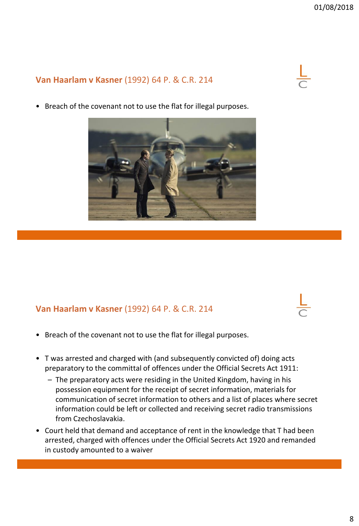## **Van Haarlam v Kasner** (1992) 64 P. & C.R. 214

- 
- Breach of the covenant not to use the flat for illegal purposes.

## **Van Haarlam v Kasner** (1992) 64 P. & C.R. 214

- Breach of the covenant not to use the flat for illegal purposes.
- T was arrested and charged with (and subsequently convicted of) doing acts preparatory to the committal of offences under the Official Secrets Act 1911:
	- The preparatory acts were residing in the United Kingdom, having in his possession equipment for the receipt of secret information, materials for communication of secret information to others and a list of places where secret information could be left or collected and receiving secret radio transmissions from Czechoslavakia.
- Court held that demand and acceptance of rent in the knowledge that T had been arrested, charged with offences under the Official Secrets Act 1920 and remanded in custody amounted to a waiver





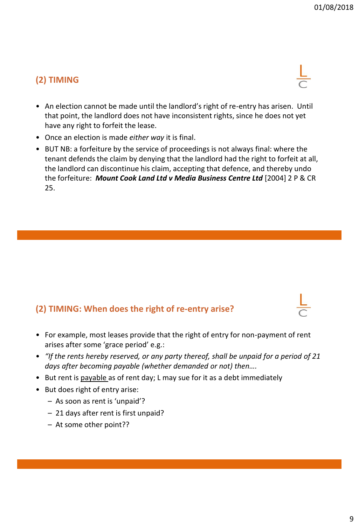## **(2) TIMING**

- An election cannot be made until the landlord's right of re-entry has arisen. Until that point, the landlord does not have inconsistent rights, since he does not yet have any right to forfeit the lease.
- Once an election is made *either way* it is final.
- BUT NB: a forfeiture by the service of proceedings is not always final: where the tenant defends the claim by denying that the landlord had the right to forfeit at all, the landlord can discontinue his claim, accepting that defence, and thereby undo the forfeiture: *Mount Cook Land Ltd v Media Business Centre Ltd* [2004] 2 P & CR 25.

## **(2) TIMING: When does the right of re-entry arise?**

- For example, most leases provide that the right of entry for non-payment of rent arises after some 'grace period' e.g.:
- *"If the rents hereby reserved, or any party thereof, shall be unpaid for a period of 21 days after becoming payable (whether demanded or not) then….*
- But rent is payable as of rent day; L may sue for it as a debt immediately
- But does right of entry arise:
	- As soon as rent is 'unpaid'?
	- 21 days after rent is first unpaid?
	- At some other point??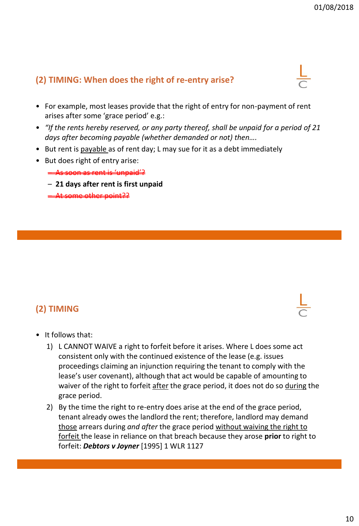## **(2) TIMING: When does the right of re-entry arise?**

- For example, most leases provide that the right of entry for non-payment of rent arises after some 'grace period' e.g.:
- *"If the rents hereby reserved, or any party thereof, shall be unpaid for a period of 21 days after becoming payable (whether demanded or not) then….*
- But rent is payable as of rent day; L may sue for it as a debt immediately
- But does right of entry arise:

– As soon as rent is 'unpaid'?

- **21 days after rent is first unpaid**
- At some other point??

## **(2) TIMING**

- It follows that:
	- 1) L CANNOT WAIVE a right to forfeit before it arises. Where L does some act consistent only with the continued existence of the lease (e.g. issues proceedings claiming an injunction requiring the tenant to comply with the lease's user covenant), although that act would be capable of amounting to waiver of the right to forfeit after the grace period, it does not do so during the grace period.
	- 2) By the time the right to re-entry does arise at the end of the grace period, tenant already owes the landlord the rent; therefore, landlord may demand those arrears during *and after* the grace period without waiving the right to forfeit the lease in reliance on that breach because they arose **prior** to right to forfeit: *Debtors v Joyner* [1995] 1 WLR 1127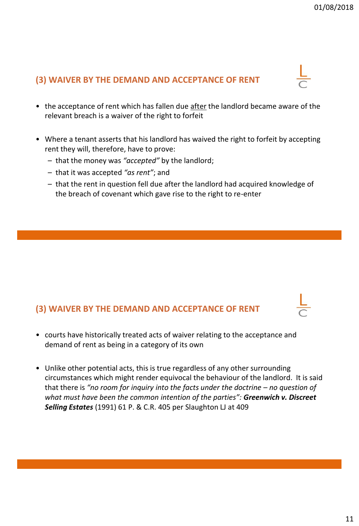## **(3) WAIVER BY THE DEMAND AND ACCEPTANCE OF RENT**

- the acceptance of rent which has fallen due after the landlord became aware of the relevant breach is a waiver of the right to forfeit
- Where a tenant asserts that his landlord has waived the right to forfeit by accepting rent they will, therefore, have to prove:
	- that the money was *"accepted"* by the landlord;
	- that it was accepted *"as rent"*; and
	- that the rent in question fell due after the landlord had acquired knowledge of the breach of covenant which gave rise to the right to re-enter

#### **(3) WAIVER BY THE DEMAND AND ACCEPTANCE OF RENT**

- courts have historically treated acts of waiver relating to the acceptance and demand of rent as being in a category of its own
- Unlike other potential acts, this is true regardless of any other surrounding circumstances which might render equivocal the behaviour of the landlord. It is said that there is *"no room for inquiry into the facts under the doctrine – no question of what must have been the common intention of the parties": Greenwich v. Discreet Selling Estates* (1991) 61 P. & C.R. 405 per Slaughton LJ at 409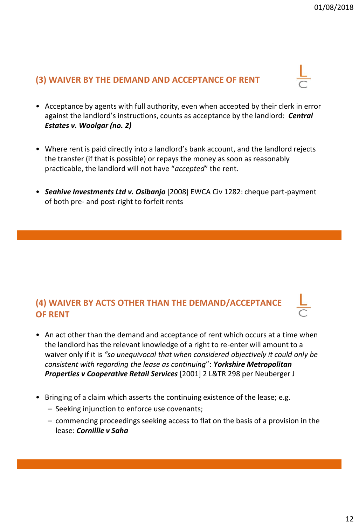## **(3) WAIVER BY THE DEMAND AND ACCEPTANCE OF RENT**

- Acceptance by agents with full authority, even when accepted by their clerk in error against the landlord's instructions, counts as acceptance by the landlord: *Central Estates v. Woolgar (no. 2)*
- Where rent is paid directly into a landlord's bank account, and the landlord rejects the transfer (if that is possible) or repays the money as soon as reasonably practicable, the landlord will not have "*accepted*" the rent.
- *Seahive Investments Ltd v. Osibanjo* [2008] EWCA Civ 1282: cheque part-payment of both pre- and post-right to forfeit rents

## **(4) WAIVER BY ACTS OTHER THAN THE DEMAND/ACCEPTANCE OF RENT**

- An act other than the demand and acceptance of rent which occurs at a time when the landlord has the relevant knowledge of a right to re-enter will amount to a waiver only if it is *"so unequivocal that when considered objectively it could only be consistent with regarding the lease as continuing*": *Yorkshire Metropolitan Properties v Cooperative Retail Services* [2001] 2 L&TR 298 per Neuberger J
- Bringing of a claim which asserts the continuing existence of the lease; e.g.
	- Seeking injunction to enforce use covenants;
	- commencing proceedings seeking access to flat on the basis of a provision in the lease: *Cornillie v Saha*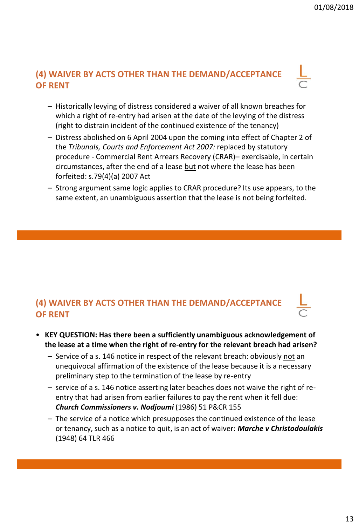## **(4) WAIVER BY ACTS OTHER THAN THE DEMAND/ACCEPTANCE OF RENT**

- Historically levying of distress considered a waiver of all known breaches for which a right of re-entry had arisen at the date of the levying of the distress (right to distrain incident of the continued existence of the tenancy)
- Distress abolished on 6 April 2004 upon the coming into effect of Chapter 2 of the *Tribunals, Courts and Enforcement Act 2007:* replaced by statutory procedure - Commercial Rent Arrears Recovery (CRAR)– exercisable, in certain circumstances, after the end of a lease but not where the lease has been forfeited: s.79(4)(a) 2007 Act
- Strong argument same logic applies to CRAR procedure? Its use appears, to the same extent, an unambiguous assertion that the lease is not being forfeited.

## **(4) WAIVER BY ACTS OTHER THAN THE DEMAND/ACCEPTANCE OF RENT**

- **KEY QUESTION: Has there been a sufficiently unambiguous acknowledgement of the lease at a time when the right of re-entry for the relevant breach had arisen?**
	- Service of a s. 146 notice in respect of the relevant breach: obviously not an unequivocal affirmation of the existence of the lease because it is a necessary preliminary step to the termination of the lease by re-entry
	- service of a s. 146 notice asserting later beaches does not waive the right of reentry that had arisen from earlier failures to pay the rent when it fell due: *Church Commissioners v. Nodjoumi* (1986) 51 P&CR 155
	- The service of a notice which presupposes the continued existence of the lease or tenancy, such as a notice to quit, is an act of waiver: *Marche v Christodoulakis* (1948) 64 TLR 466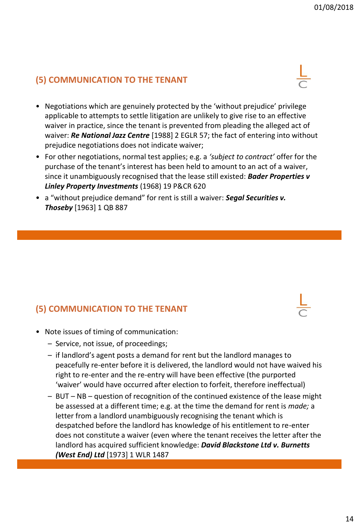## **(5) COMMUNICATION TO THE TENANT**

- Negotiations which are genuinely protected by the 'without prejudice' privilege applicable to attempts to settle litigation are unlikely to give rise to an effective waiver in practice, since the tenant is prevented from pleading the alleged act of waiver: *Re National Jazz Centre* [1988] 2 EGLR 57; the fact of entering into without prejudice negotiations does not indicate waiver;
- For other negotiations, normal test applies; e.g. a *'subject to contract'* offer for the purchase of the tenant's interest has been held to amount to an act of a waiver, since it unambiguously recognised that the lease still existed: *Bader Properties v Linley Property Investments* (1968) 19 P&CR 620
- a "without prejudice demand" for rent is still a waiver: *Segal Securities v. Thoseby* [1963] 1 QB 887

## **(5) COMMUNICATION TO THE TENANT**

- Note issues of timing of communication:
	- Service, not issue, of proceedings;
	- if landlord's agent posts a demand for rent but the landlord manages to peacefully re-enter before it is delivered, the landlord would not have waived his right to re-enter and the re-entry will have been effective (the purported 'waiver' would have occurred after election to forfeit, therefore ineffectual)
	- BUT NB question of recognition of the continued existence of the lease might be assessed at a different time; e.g. at the time the demand for rent is *made;* a letter from a landlord unambiguously recognising the tenant which is despatched before the landlord has knowledge of his entitlement to re-enter does not constitute a waiver (even where the tenant receives the letter after the landlord has acquired sufficient knowledge: *David Blackstone Ltd v. Burnetts (West End) Ltd* [1973] 1 WLR 1487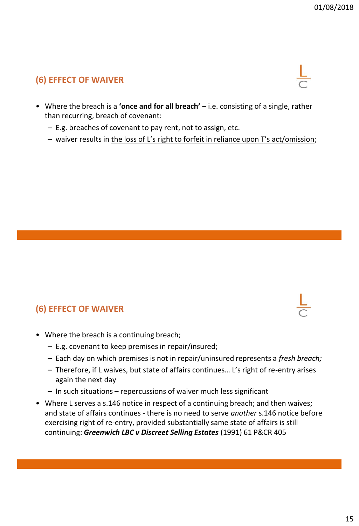## **(6) EFFECT OF WAIVER**

- Where the breach is a **'once and for all breach'**  i.e. consisting of a single, rather than recurring, breach of covenant:
	- E.g. breaches of covenant to pay rent, not to assign, etc.
	- waiver results in the loss of L's right to forfeit in reliance upon T's act/omission;

#### **(6) EFFECT OF WAIVER**

- Where the breach is a continuing breach;
	- E.g. covenant to keep premises in repair/insured;
	- Each day on which premises is not in repair/uninsured represents a *fresh breach;*
	- Therefore, if L waives, but state of affairs continues… L's right of re-entry arises again the next day
	- In such situations repercussions of waiver much less significant
- Where L serves a s.146 notice in respect of a continuing breach; and then waives; and state of affairs continues - there is no need to serve *another* s.146 notice before exercising right of re-entry, provided substantially same state of affairs is still continuing: *Greenwich LBC v Discreet Selling Estates* (1991) 61 P&CR 405